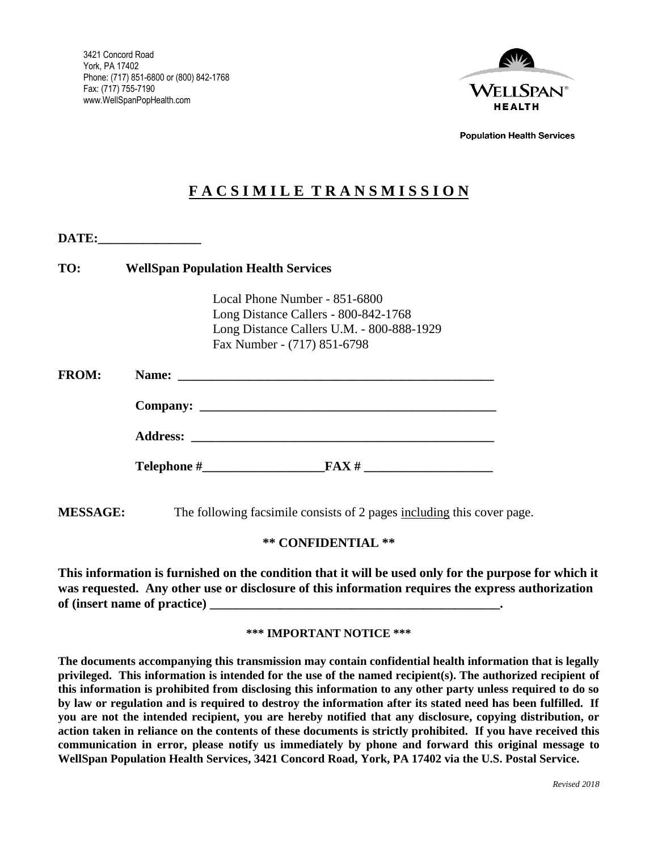

**Population Health Services** 

# **F A C S I M I L E T R A N S M I S S I O N**

| TO:          | <b>WellSpan Population Health Services</b> |                                           |  |
|--------------|--------------------------------------------|-------------------------------------------|--|
|              |                                            |                                           |  |
|              |                                            | Local Phone Number - 851-6800             |  |
|              |                                            | Long Distance Callers - 800-842-1768      |  |
|              |                                            | Long Distance Callers U.M. - 800-888-1929 |  |
|              |                                            | Fax Number - (717) 851-6798               |  |
| <b>FROM:</b> |                                            |                                           |  |
|              |                                            |                                           |  |
|              |                                            |                                           |  |
|              |                                            |                                           |  |

# **\*\* CONFIDENTIAL \*\***

**This information is furnished on the condition that it will be used only for the purpose for which it was requested. Any other use or disclosure of this information requires the express authorization of (insert name of practice) \_\_\_\_\_\_\_\_\_\_\_\_\_\_\_\_\_\_\_\_\_\_\_\_\_\_\_\_\_\_\_\_\_\_\_\_\_\_\_\_\_\_\_\_\_.**

#### **\*\*\* IMPORTANT NOTICE \*\*\***

**The documents accompanying this transmission may contain confidential health information that is legally privileged. This information is intended for the use of the named recipient(s). The authorized recipient of this information is prohibited from disclosing this information to any other party unless required to do so by law or regulation and is required to destroy the information after its stated need has been fulfilled. If you are not the intended recipient, you are hereby notified that any disclosure, copying distribution, or action taken in reliance on the contents of these documents is strictly prohibited. If you have received this communication in error, please notify us immediately by phone and forward this original message to WellSpan Population Health Services, 3421 Concord Road, York, PA 17402 via the U.S. Postal Service.**